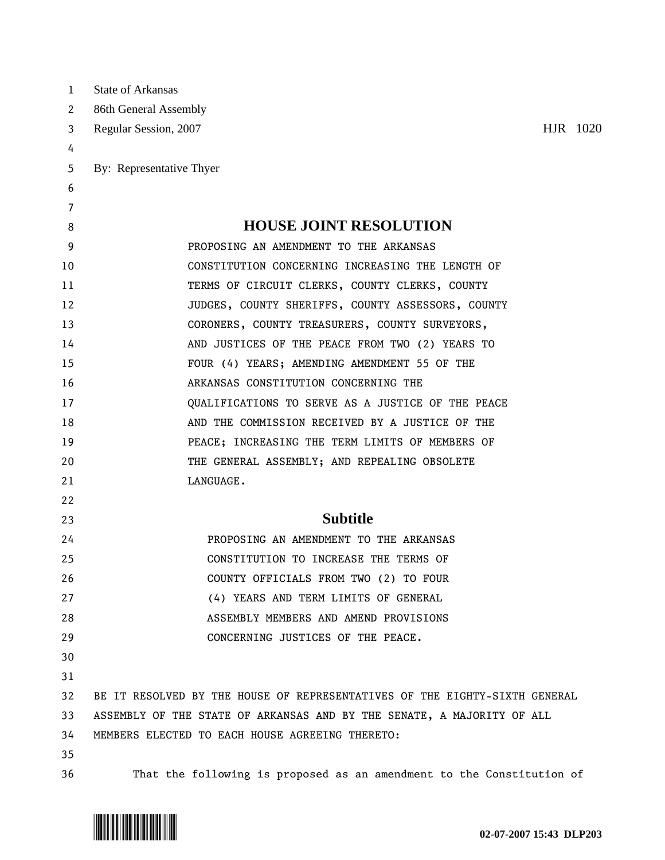| $\mathbf{1}$ | <b>State of Arkansas</b>                                                   |
|--------------|----------------------------------------------------------------------------|
| 2            | 86th General Assembly                                                      |
| 3            | HJR 1020<br>Regular Session, 2007                                          |
| 4            |                                                                            |
| 5            | By: Representative Thyer                                                   |
| 6            |                                                                            |
| 7            |                                                                            |
| 8            | <b>HOUSE JOINT RESOLUTION</b>                                              |
| 9            | PROPOSING AN AMENDMENT TO THE ARKANSAS                                     |
| 10           | CONSTITUTION CONCERNING INCREASING THE LENGTH OF                           |
| 11           | TERMS OF CIRCUIT CLERKS, COUNTY CLERKS, COUNTY                             |
| 12           | JUDGES, COUNTY SHERIFFS, COUNTY ASSESSORS, COUNTY                          |
| 13           | CORONERS, COUNTY TREASURERS, COUNTY SURVEYORS,                             |
| 14           | AND JUSTICES OF THE PEACE FROM TWO (2) YEARS TO                            |
| 15           | FOUR (4) YEARS; AMENDING AMENDMENT 55 OF THE                               |
| 16           | ARKANSAS CONSTITUTION CONCERNING THE                                       |
| 17           | QUALIFICATIONS TO SERVE AS A JUSTICE OF THE PEACE                          |
| 18           | AND THE COMMISSION RECEIVED BY A JUSTICE OF THE                            |
| 19           | PEACE; INCREASING THE TERM LIMITS OF MEMBERS OF                            |
| 20           | THE GENERAL ASSEMBLY; AND REPEALING OBSOLETE                               |
| 21           | LANGUAGE.                                                                  |
| 22           |                                                                            |
| 23           | <b>Subtitle</b>                                                            |
| 24           | PROPOSING AN AMENDMENT TO THE ARKANSAS                                     |
| 25           | CONSTITUTION TO INCREASE THE TERMS OF                                      |
| 26           | COUNTY OFFICIALS FROM TWO (2) TO FOUR                                      |
| 27           | (4) YEARS AND TERM LIMITS OF GENERAL                                       |
| 28           | ASSEMBLY MEMBERS AND AMEND PROVISIONS                                      |
| 29           | CONCERNING JUSTICES OF THE PEACE.                                          |
| 30           |                                                                            |
| 31           |                                                                            |
| 32           | BE IT RESOLVED BY THE HOUSE OF REPRESENTATIVES OF THE EIGHTY-SIXTH GENERAL |
| 33           | ASSEMBLY OF THE STATE OF ARKANSAS AND BY THE SENATE, A MAJORITY OF ALL     |
| 34           | MEMBERS ELECTED TO EACH HOUSE AGREEING THERETO:                            |
| 35           |                                                                            |
| 36           | That the following is proposed as an amendment to the Constitution of      |

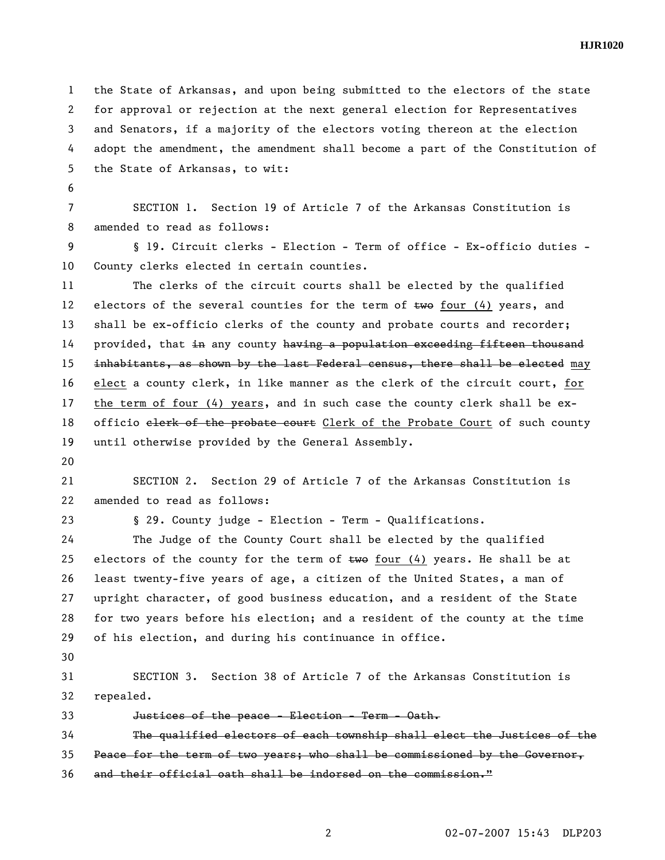**HJR1020** 

1 the State of Arkansas, and upon being submitted to the electors of the state 2 for approval or rejection at the next general election for Representatives 3 and Senators, if a majority of the electors voting thereon at the election 4 adopt the amendment, the amendment shall become a part of the Constitution of 5 the State of Arkansas, to wit:

6

7 SECTION 1. Section 19 of Article 7 of the Arkansas Constitution is 8 amended to read as follows:

9 § 19. Circuit clerks - Election - Term of office - Ex-officio duties - 10 County clerks elected in certain counties.

11 The clerks of the circuit courts shall be elected by the qualified 12 electors of the several counties for the term of  $t_{w0}$  four (4) years, and 13 shall be ex-officio clerks of the county and probate courts and recorder; 14 provided, that in any county having a population exceeding fifteen thousand 15 inhabitants, as shown by the last Federal census, there shall be elected may 16 elect a county clerk, in like manner as the clerk of the circuit court, for 17 the term of four (4) years, and in such case the county clerk shall be ex-18 officio elerk of the probate court Clerk of the Probate Court of such county 19 until otherwise provided by the General Assembly.

20

21 SECTION 2. Section 29 of Article 7 of the Arkansas Constitution is 22 amended to read as follows:

23 § 29. County judge - Election - Term - Qualifications.

24 The Judge of the County Court shall be elected by the qualified 25 electors of the county for the term of  $t$ we four (4) years. He shall be at 26 least twenty-five years of age, a citizen of the United States, a man of 27 upright character, of good business education, and a resident of the State 28 for two years before his election; and a resident of the county at the time 29 of his election, and during his continuance in office.

30

31 SECTION 3. Section 38 of Article 7 of the Arkansas Constitution is 32 repealed.

33 Justices of the peace - Election - Term - Oath.

34 The qualified electors of each township shall elect the Justices of the

35 Peace for the term of two years; who shall be commissioned by the Governor,

36 and their official oath shall be indorsed on the commission."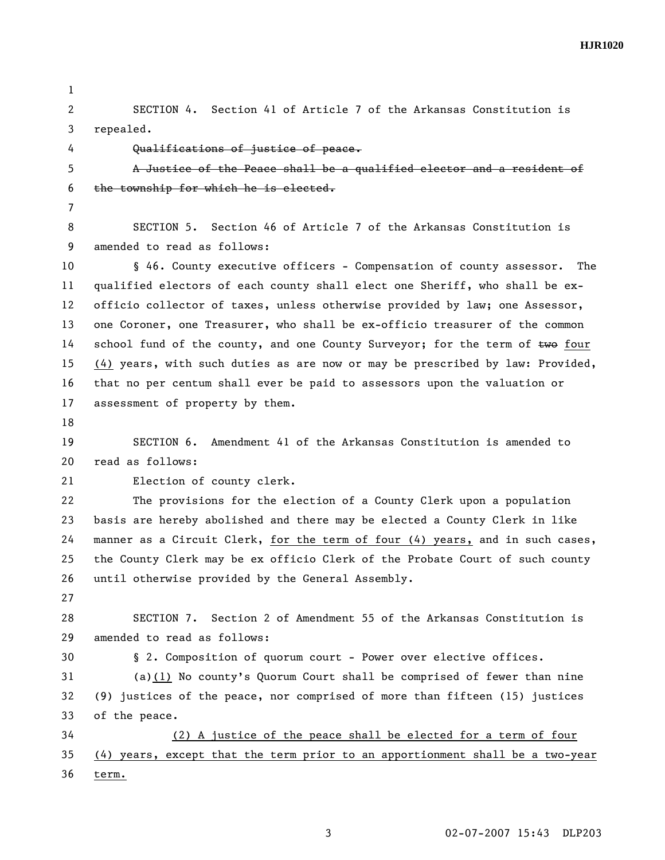**HJR1020** 

1

2 SECTION 4. Section 41 of Article 7 of the Arkansas Constitution is 3 repealed.

4 Qualifications of justice of peace.

5 A Justice of the Peace shall be a qualified elector and a resident of 6 the township for which he is elected.

7

8 SECTION 5. Section 46 of Article 7 of the Arkansas Constitution is 9 amended to read as follows:

10 § 46. County executive officers - Compensation of county assessor. The 11 qualified electors of each county shall elect one Sheriff, who shall be ex-12 officio collector of taxes, unless otherwise provided by law; one Assessor, 13 one Coroner, one Treasurer, who shall be ex-officio treasurer of the common 14 school fund of the county, and one County Surveyor; for the term of  $two$  four 15 (4) years, with such duties as are now or may be prescribed by law: Provided, 16 that no per centum shall ever be paid to assessors upon the valuation or 17 assessment of property by them.

18

19 SECTION 6. Amendment 41 of the Arkansas Constitution is amended to 20 read as follows:

21 Election of county clerk.

22 The provisions for the election of a County Clerk upon a population 23 basis are hereby abolished and there may be elected a County Clerk in like 24 manner as a Circuit Clerk, for the term of four (4) years, and in such cases, 25 the County Clerk may be ex officio Clerk of the Probate Court of such county 26 until otherwise provided by the General Assembly.

27

28 SECTION 7. Section 2 of Amendment 55 of the Arkansas Constitution is 29 amended to read as follows:

30 § 2. Composition of quorum court - Power over elective offices.

31 (a)(1) No county's Quorum Court shall be comprised of fewer than nine 32 (9) justices of the peace, nor comprised of more than fifteen (15) justices 33 of the peace.

34 (2) A justice of the peace shall be elected for a term of four 35 (4) years, except that the term prior to an apportionment shall be a two-year 36 term.